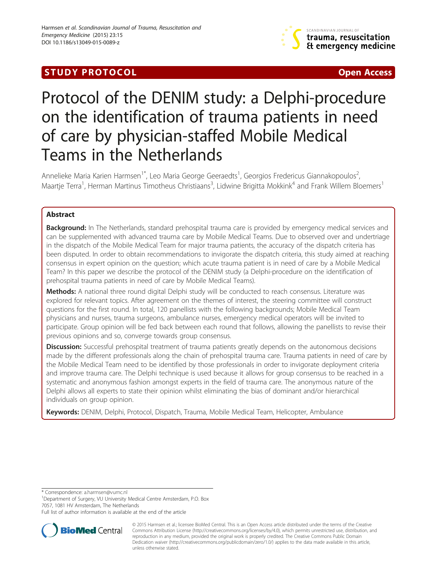# **STUDY PROTOCOL CONSUMING THE CONSUMING OPEN ACCESS**



# Protocol of the DENIM study: a Delphi-procedure on the identification of trauma patients in need of care by physician-staffed Mobile Medical Teams in the Netherlands

Annelieke Maria Karien Harmsen<sup>1\*</sup>, Leo Maria George Geeraedts<sup>1</sup>, Georgios Fredericus Giannakopoulos<sup>2</sup> , Maartje Terra<sup>1</sup>, Herman Martinus Timotheus Christiaans<sup>3</sup>, Lidwine Brigitta Mokkink<sup>4</sup> and Frank Willem Bloemers<sup>1</sup>

# Abstract

Background: In The Netherlands, standard prehospital trauma care is provided by emergency medical services and can be supplemented with advanced trauma care by Mobile Medical Teams. Due to observed over and undertriage in the dispatch of the Mobile Medical Team for major trauma patients, the accuracy of the dispatch criteria has been disputed. In order to obtain recommendations to invigorate the dispatch criteria, this study aimed at reaching consensus in expert opinion on the question; which acute trauma patient is in need of care by a Mobile Medical Team? In this paper we describe the protocol of the DENIM study (a Delphi-procedure on the identification of prehospital trauma patients in need of care by Mobile Medical Teams).

Methods: A national three round digital Delphi study will be conducted to reach consensus. Literature was explored for relevant topics. After agreement on the themes of interest, the steering committee will construct questions for the first round. In total, 120 panellists with the following backgrounds; Mobile Medical Team physicians and nurses, trauma surgeons, ambulance nurses, emergency medical operators will be invited to participate. Group opinion will be fed back between each round that follows, allowing the panellists to revise their previous opinions and so, converge towards group consensus.

Discussion: Successful prehospital treatment of trauma patients greatly depends on the autonomous decisions made by the different professionals along the chain of prehospital trauma care. Trauma patients in need of care by the Mobile Medical Team need to be identified by those professionals in order to invigorate deployment criteria and improve trauma care. The Delphi technique is used because it allows for group consensus to be reached in a systematic and anonymous fashion amongst experts in the field of trauma care. The anonymous nature of the Delphi allows all experts to state their opinion whilst eliminating the bias of dominant and/or hierarchical individuals on group opinion.

Keywords: DENIM, Delphi, Protocol, Dispatch, Trauma, Mobile Medical Team, Helicopter, Ambulance

\* Correspondence: [a.harmsen@vumc.nl](mailto:a.harmsen@vumc.nl) <sup>1</sup>

Department of Surgery, VU University Medical Centre Amsterdam, P.O. Box 7057, 1081 HV Amsterdam, The Netherlands

Full list of author information is available at the end of the article



<sup>© 2015</sup> Harmsen et al.; licensee BioMed Central. This is an Open Access article distributed under the terms of the Creative Commons Attribution License [\(http://creativecommons.org/licenses/by/4.0\)](http://creativecommons.org/licenses/by/4.0), which permits unrestricted use, distribution, and reproduction in any medium, provided the original work is properly credited. The Creative Commons Public Domain Dedication waiver [\(http://creativecommons.org/publicdomain/zero/1.0/](http://creativecommons.org/publicdomain/zero/1.0/)) applies to the data made available in this article, unless otherwise stated.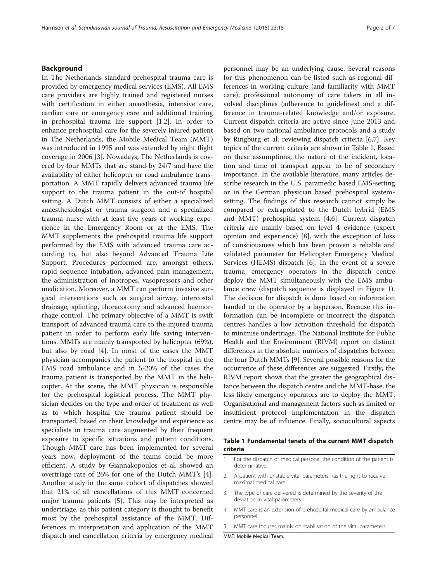#### Background

In The Netherlands standard prehospital trauma care is provided by emergency medical services (EMS). All EMS care providers are highly trained and registered nurses with certification in either anaesthesia, intensive care, cardiac care or emergency care and additional training in prehospital trauma life support [\[1,2](#page-6-0)]. In order to enhance prehospital care for the severely injured patient in The Netherlands, the Mobile Medical Team (MMT) was introduced in 1995 and was extended by night flight coverage in 2006 [\[3\]](#page-6-0). Nowadays, The Netherlands is covered by four MMTs that are stand-by 24/7 and have the availability of either helicopter or road ambulance transportation. A MMT rapidly delivers advanced trauma life support to the trauma patient in the out-of hospital setting. A Dutch MMT consists of either a specialized anaesthesiologist or trauma surgeon and a specialized trauma nurse with at least five years of working experience in the Emergency Room or at the EMS. The MMT supplements the prehospital trauma life support performed by the EMS with advanced trauma care according to, but also beyond Advanced Trauma Life Support. Procedures performed are, amongst others, rapid sequence intubation, advanced pain management, the administration of inotropes, vasopressors and other medication. Moreover, a MMT can perform invasive surgical interventions such as surgical airway, intercostal drainage, splinting, thoracotomy and advanced haemorrhage control. The primary objective of a MMT is swift transport of advanced trauma care to the injured trauma patient in order to perform early life saving interventions. MMTs are mainly transported by helicopter (69%), but also by road [\[4](#page-6-0)]. In most of the cases the MMT physician accompanies the patient to the hospital in the EMS road ambulance and in 5-20% of the cases the trauma patient is transported by the MMT in the helicopter. At the scene, the MMT physician is responsible for the prehospital logistical process. The MMT physician decides on the type and order of treatment as well as to which hospital the trauma patient should be transported, based on their knowledge and experience as specialists in trauma care augmented by their frequent exposure to specific situations and patient conditions. Though MMT care has been implemented for several years now, deployment of the teams could be more efficient. A study by Giannakopoulos et al. showed an overtriage rate of 26% for one of the Dutch MMT's [\[4](#page-6-0)]. Another study in the same cohort of dispatches showed that 21% of all cancellations of this MMT concerned major trauma patients [[5\]](#page-6-0). This may be interpreted as undertriage, as this patient category is thought to benefit most by the prehospital assistance of the MMT. Differences in interpretation and application of the MMT dispatch and cancellation criteria by emergency medical

personnel may be an underlying cause. Several reasons for this phenomenon can be listed such as regional differences in working culture (and familiarity with MMT care), professional autonomy of care takers in all involved disciplines (adherence to guidelines) and a difference in trauma-related knowledge and/or exposure. Current dispatch criteria are active since June 2013 and based on two national ambulance protocols and a study by Ringburg et al. reviewing dispatch criteria [[6,7\]](#page-6-0). Key topics of the current criteria are shown in Table 1. Based on these assumptions, the nature of the incident, location and time of transport appear to be of secondary importance. In the available literature, many articles describe research in the U.S. paramedic based EMS-setting or in the German physician based prehospital systemsetting. The findings of this research cannot simply be compared or extrapolated to the Dutch hybrid (EMS and MMT) prehospital system [[4,6\]](#page-6-0). Current dispatch criteria are mainly based on level 4 evidence (expert opinion and experience) [[8\]](#page-6-0), with the exception of loss of consciousness which has been proven a reliable and validated parameter for Helicopter Emergency Medical Services (HEMS) dispatch [[6](#page-6-0)]. In the event of a severe trauma, emergency operators in the dispatch centre deploy the MMT simultaneously with the EMS ambulance crew (dispatch sequence is displayed in Figure [1](#page-2-0)). The decision for dispatch is done based on information handed to the operator by a layperson. Because this information can be incomplete or incorrect the dispatch centres handles a low activation threshold for dispatch to minimise undertriage. The National Institute for Public Health and the Environment (RIVM) report on distinct differences in the absolute numbers of dispatches between the four Dutch MMTs [\[9](#page-6-0)]. Several possible reasons for the occurrence of these differences are suggested. Firstly, the RIVM report shows that the greater the geographical distance between the dispatch centre and the MMT-base, the less likely emergency operators are to deploy the MMT. Organisational and management factors such as limited or insufficient protocol implementation in the dispatch centre may be of influence. Finally, sociocultural aspects

# Table 1 Fundamental tenets of the current MMT dispatch criteria

- 1. For the dispatch of medical personal the condition of the patient is determinative.
- 2. A patient with unstable vital parameters has the right to receive maximal medical care.
- 3. The type of care delivered is determined by the severity of the deviation in vital parameters.
- 4. MMT care is an extension of prehospital medical care by ambulance personnel
- 5. MMT care focuses mainly on stabilisation of the vital parameters

MMT: Mobile Medical Team.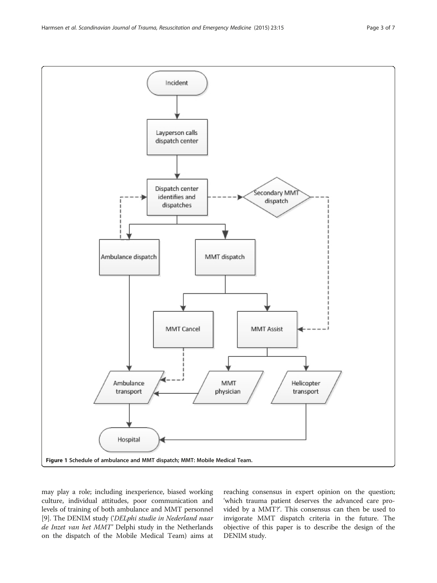<span id="page-2-0"></span>

may play a role; including inexperience, biased working culture, individual attitudes, poor communication and levels of training of both ambulance and MMT personnel [[9\]](#page-6-0). The DENIM study ('DELphi studie in Nederland naar de Inzet van het MMT' Delphi study in the Netherlands on the dispatch of the Mobile Medical Team) aims at reaching consensus in expert opinion on the question; 'which trauma patient deserves the advanced care provided by a MMT?'. This consensus can then be used to invigorate MMT dispatch criteria in the future. The objective of this paper is to describe the design of the DENIM study.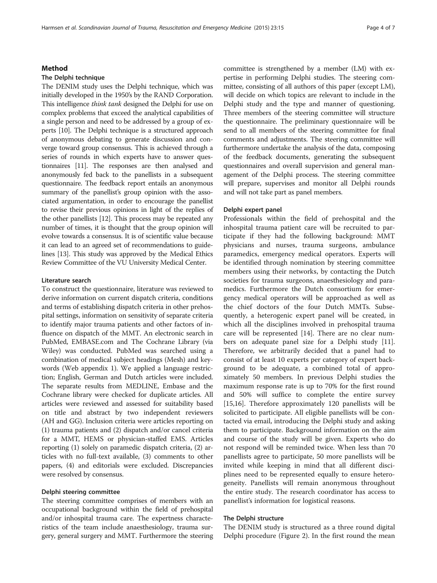#### Method

#### The Delphi technique

The DENIM study uses the Delphi technique, which was initially developed in the 1950's by the RAND Corporation. This intelligence think tank designed the Delphi for use on complex problems that exceed the analytical capabilities of a single person and need to be addressed by a group of experts [[10](#page-6-0)]. The Delphi technique is a structured approach of anonymous debating to generate discussion and converge toward group consensus. This is achieved through a series of rounds in which experts have to answer questionnaires [\[11\]](#page-6-0). The responses are then analysed and anonymously fed back to the panellists in a subsequent questionnaire. The feedback report entails an anonymous summary of the panellist's group opinion with the associated argumentation, in order to encourage the panellist to revise their previous opinions in light of the replies of the other panellists [\[12\]](#page-6-0). This process may be repeated any number of times, it is thought that the group opinion will evolve towards a consensus. It is of scientific value because it can lead to an agreed set of recommendations to guidelines [\[13\]](#page-6-0). This study was approved by the Medical Ethics Review Committee of the VU University Medical Center.

# Literature search

To construct the questionnaire, literature was reviewed to derive information on current dispatch criteria, conditions and terms of establishing dispatch criteria in other prehospital settings, information on sensitivity of separate criteria to identify major trauma patients and other factors of influence on dispatch of the MMT. An electronic search in PubMed, EMBASE.com and The Cochrane Library (via Wiley) was conducted. PubMed was searched using a combination of medical subject headings (Mesh) and keywords (Web appendix 1). We applied a language restriction; English, German and Dutch articles were included. The separate results from MEDLINE, Embase and the Cochrane library were checked for duplicate articles. All articles were reviewed and assessed for suitability based on title and abstract by two independent reviewers (AH and GG). Inclusion criteria were articles reporting on (1) trauma patients and (2) dispatch and/or cancel criteria for a MMT, HEMS or physician-staffed EMS. Articles reporting (1) solely on paramedic dispatch criteria, (2) articles with no full-text available, (3) comments to other papers, (4) and editorials were excluded. Discrepancies were resolved by consensus.

#### Delphi steering committee

The steering committee comprises of members with an occupational background within the field of prehospital and/or inhospital trauma care. The expertness characteristics of the team include anaesthesiology, trauma surgery, general surgery and MMT. Furthermore the steering committee is strengthened by a member (LM) with expertise in performing Delphi studies. The steering committee, consisting of all authors of this paper (except LM), will decide on which topics are relevant to include in the Delphi study and the type and manner of questioning. Three members of the steering committee will structure the questionnaire. The preliminary questionnaire will be send to all members of the steering committee for final comments and adjustments. The steering committee will furthermore undertake the analysis of the data, composing of the feedback documents, generating the subsequent questionnaires and overall supervision and general management of the Delphi process. The steering committee will prepare, supervises and monitor all Delphi rounds and will not take part as panel members.

#### Delphi expert panel

Professionals within the field of prehospital and the inhospital trauma patient care will be recruited to participate if they had the following background: MMT physicians and nurses, trauma surgeons, ambulance paramedics, emergency medical operators. Experts will be identified through nomination by steering committee members using their networks, by contacting the Dutch societies for trauma surgeons, anaesthesiology and paramedics. Furthermore the Dutch consortium for emergency medical operators will be approached as well as the chief doctors of the four Dutch MMTs. Subsequently, a heterogenic expert panel will be created, in which all the disciplines involved in prehospital trauma care will be represented [\[14](#page-6-0)]. There are no clear numbers on adequate panel size for a Delphi study [\[11](#page-6-0)]. Therefore, we arbitrarily decided that a panel had to consist of at least 10 experts per category of expert background to be adequate, a combined total of approximately 50 members. In previous Delphi studies the maximum response rate is up to 70% for the first round and 50% will suffice to complete the entire survey [[15,16\]](#page-6-0). Therefore approximately 120 panellists will be solicited to participate. All eligible panellists will be contacted via email, introducing the Delphi study and asking them to participate. Background information on the aim and course of the study will be given. Experts who do not respond will be reminded twice. When less than 70 panellists agree to participate, 50 more panellists will be invited while keeping in mind that all different disciplines need to be represented equally to ensure heterogeneity. Panellists will remain anonymous throughout the entire study. The research coordinator has access to panellist's information for logistical reasons.

#### The Delphi structure

The DENIM study is structured as a three round digital Delphi procedure (Figure [2\)](#page-4-0). In the first round the mean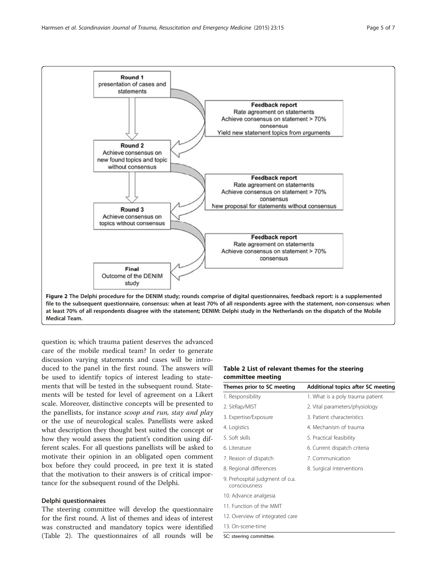<span id="page-4-0"></span>

question is; which trauma patient deserves the advanced care of the mobile medical team? In order to generate discussion varying statements and cases will be introduced to the panel in the first round. The answers will be used to identify topics of interest leading to statements that will be tested in the subsequent round. Statements will be tested for level of agreement on a Likert scale. Moreover, distinctive concepts will be presented to the panellists, for instance scoop and run, stay and play or the use of neurological scales. Panellists were asked what description they thought best suited the concept or how they would assess the patient's condition using different scales. For all questions panellists will be asked to motivate their opinion in an obligated open comment box before they could proceed, in pre text it is stated that the motivation to their answers is of critical importance for the subsequent round of the Delphi.

#### Delphi questionnaires

The steering committee will develop the questionnaire for the first round. A list of themes and ideas of interest was constructed and mandatory topics were identified (Table 2). The questionnaires of all rounds will be

## Table 2 List of relevant themes for the steering committee meeting

| Themes prior to SC meeting                       | Additional topics after SC meeting |
|--------------------------------------------------|------------------------------------|
| 1. Responsibility                                | 1. What is a poly trauma patient   |
| 2. SitRap/MIST                                   | 2. Vital parameters/physiology     |
| 3. Expertise/Exposure                            | 3. Patient characteristics         |
| 4. Logistics                                     | 4. Mechanism of trauma             |
| 5. Soft skills                                   | 5. Practical feasibility           |
| 6. Literature                                    | 6. Current dispatch criteria       |
| 7. Reason of dispatch                            | 7. Communication                   |
| 8. Regional differences                          | 8. Surgical interventions          |
| 9. Prehospital judgment of o.a.<br>consciousness |                                    |
| 10. Advance analgesia                            |                                    |
| 11. Function of the MMT                          |                                    |
| 12. Overview of integrated care                  |                                    |
| 13. On-scene-time                                |                                    |

SC: steering committee.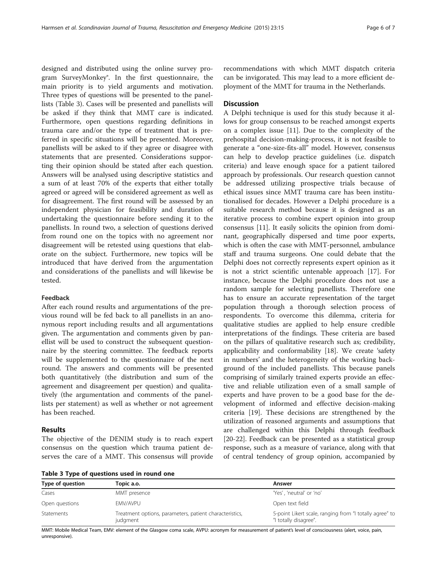designed and distributed using the online survey program SurveyMonkey®. In the first questionnaire, the main priority is to yield arguments and motivation. Three types of questions will be presented to the panellists (Table 3). Cases will be presented and panellists will be asked if they think that MMT care is indicated. Furthermore, open questions regarding definitions in trauma care and/or the type of treatment that is preferred in specific situations will be presented. Moreover, panellists will be asked to if they agree or disagree with statements that are presented. Considerations supporting their opinion should be stated after each question. Answers will be analysed using descriptive statistics and a sum of at least 70% of the experts that either totally agreed or agreed will be considered agreement as well as for disagreement. The first round will be assessed by an independent physician for feasibility and duration of undertaking the questionnaire before sending it to the panellists. In round two, a selection of questions derived from round one on the topics with no agreement nor disagreement will be retested using questions that elaborate on the subject. Furthermore, new topics will be introduced that have derived from the argumentation and considerations of the panellists and will likewise be tested.

### Feedback

After each round results and argumentations of the previous round will be fed back to all panellists in an anonymous report including results and all argumentations given. The argumentation and comments given by panellist will be used to construct the subsequent questionnaire by the steering committee. The feedback reports will be supplemented to the questionnaire of the next round. The answers and comments will be presented both quantitatively (the distribution and sum of the agreement and disagreement per question) and qualitatively (the argumentation and comments of the panellists per statement) as well as whether or not agreement has been reached.

### Results

The objective of the DENIM study is to reach expert consensus on the question which trauma patient deserves the care of a MMT. This consensus will provide recommendations with which MMT dispatch criteria can be invigorated. This may lead to a more efficient deployment of the MMT for trauma in the Netherlands.

# **Discussion**

A Delphi technique is used for this study because it allows for group consensus to be reached amongst experts on a complex issue [\[11](#page-6-0)]. Due to the complexity of the prehospital decision-making-process, it is not feasible to generate a "one-size-fits-all" model. However, consensus can help to develop practice guidelines (i.e. dispatch criteria) and leave enough space for a patient tailored approach by professionals. Our research question cannot be addressed utilizing prospective trials because of ethical issues since MMT trauma care has been institutionalised for decades. However a Delphi procedure is a suitable research method because it is designed as an iterative process to combine expert opinion into group consensus [[11\]](#page-6-0). It easily solicits the opinion from dominant, geographically dispersed and time poor experts, which is often the case with MMT-personnel, ambulance staff and trauma surgeons. One could debate that the Delphi does not correctly represents expert opinion as it is not a strict scientific untenable approach [\[17](#page-6-0)]. For instance, because the Delphi procedure does not use a random sample for selecting panellists. Therefore one has to ensure an accurate representation of the target population through a thorough selection process of respondents. To overcome this dilemma, criteria for qualitative studies are applied to help ensure credible interpretations of the findings. These criteria are based on the pillars of qualitative research such as; credibility, applicability and conformability [[18\]](#page-6-0). We create 'safety in numbers' and the heterogeneity of the working background of the included panellists. This because panels comprising of similarly trained experts provide an effective and reliable utilization even of a small sample of experts and have proven to be a good base for the development of informed and effective decision-making criteria [\[19\]](#page-6-0). These decisions are strengthened by the utilization of reasoned arguments and assumptions that are challenged within this Delphi through feedback [[20-22](#page-6-0)]. Feedback can be presented as a statistical group response, such as a measure of variance, along with that of central tendency of group opinion, accompanied by

Table 3 Type of questions used in round one

| Type of question | Topic a.o.                                                          | Answer                                                                           |
|------------------|---------------------------------------------------------------------|----------------------------------------------------------------------------------|
| Cases            | MMT presence                                                        | 'Yes', 'neutral' or 'no'                                                         |
| Open questions   | FMV/AVPU                                                            | Open text field                                                                  |
| Statements       | Treatment options, parameters, patient characteristics,<br>judgment | 5-point Likert scale, ranging from "I totally agree" to<br>"I totally disagree". |

MMT: Mobile Medical Team, EMV: element of the Glasgow coma scale, AVPU: acronym for measurement of patient's level of consciousness (alert, voice, pain, unresponsive).